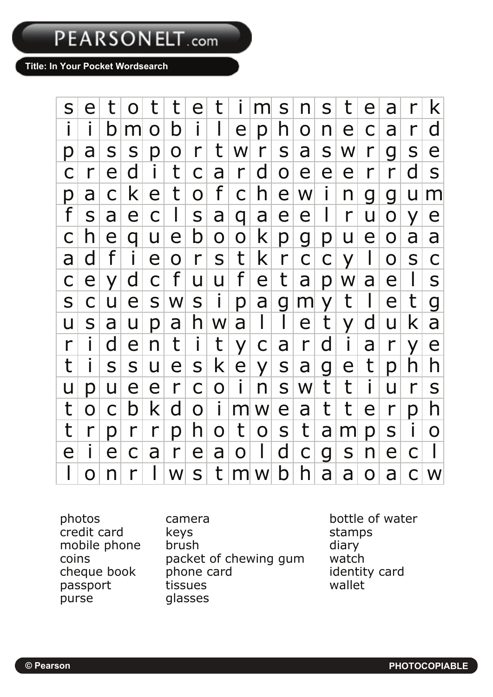PEARSONELT.com

**Title: In Your Pocket Wordsearch** 



purse glasses

photos camera bottle of water credit card by keys and the stamps mobile phone brush diary coins packet of chewing gum watch cheque book phone card identity card passport tissues wallet